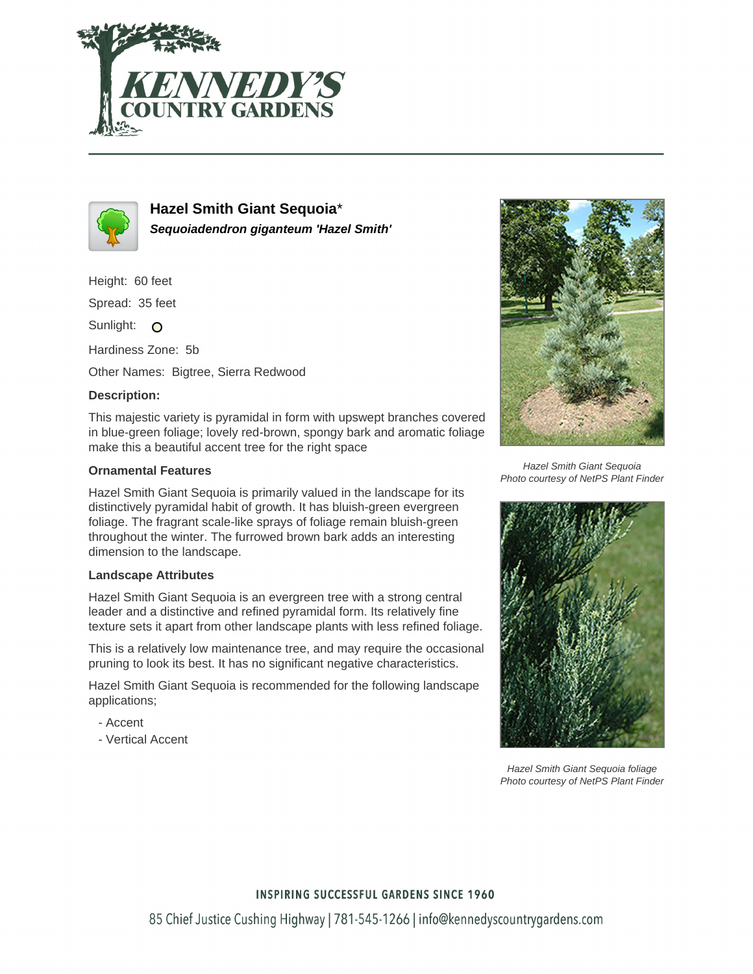



**Hazel Smith Giant Sequoia**\* **Sequoiadendron giganteum 'Hazel Smith'**

Height: 60 feet

Spread: 35 feet

Sunlight: O

Hardiness Zone: 5b

Other Names: Bigtree, Sierra Redwood

## **Description:**

This majestic variety is pyramidal in form with upswept branches covered in blue-green foliage; lovely red-brown, spongy bark and aromatic foliage make this a beautiful accent tree for the right space

## **Ornamental Features**

Hazel Smith Giant Sequoia is primarily valued in the landscape for its distinctively pyramidal habit of growth. It has bluish-green evergreen foliage. The fragrant scale-like sprays of foliage remain bluish-green throughout the winter. The furrowed brown bark adds an interesting dimension to the landscape.

## **Landscape Attributes**

Hazel Smith Giant Sequoia is an evergreen tree with a strong central leader and a distinctive and refined pyramidal form. Its relatively fine texture sets it apart from other landscape plants with less refined foliage.

This is a relatively low maintenance tree, and may require the occasional pruning to look its best. It has no significant negative characteristics.

Hazel Smith Giant Sequoia is recommended for the following landscape applications;

- Accent
- Vertical Accent



Hazel Smith Giant Sequoia Photo courtesy of NetPS Plant Finder



Hazel Smith Giant Sequoia foliage Photo courtesy of NetPS Plant Finder